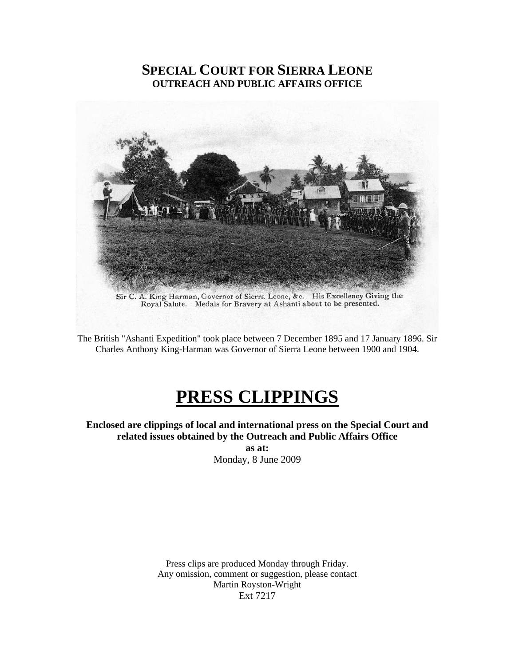## **SPECIAL COURT FOR SIERRA LEONE OUTREACH AND PUBLIC AFFAIRS OFFICE**



Sir C. A. King Harman, Governor of Sierra Leone, &c. His Excellency Giving the Royal Salute. Medals for Bravery at Ashanti about to be presented.

The British "Ashanti Expedition" took place between 7 December 1895 and 17 January 1896. Sir Charles Anthony King-Harman was Governor of Sierra Leone between 1900 and 1904.

# **PRESS CLIPPINGS**

**Enclosed are clippings of local and international press on the Special Court and related issues obtained by the Outreach and Public Affairs Office** 

> **as at:**  Monday, 8 June 2009

Press clips are produced Monday through Friday. Any omission, comment or suggestion, please contact Martin Royston-Wright Ext 7217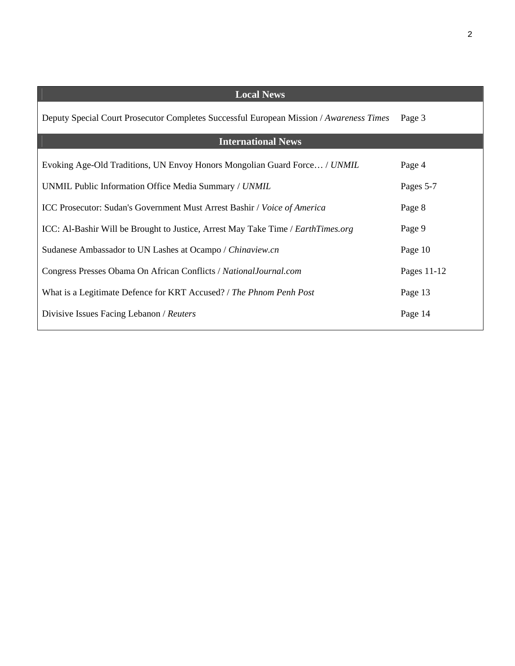| <b>Local News</b>                                                                       |             |
|-----------------------------------------------------------------------------------------|-------------|
| Deputy Special Court Prosecutor Completes Successful European Mission / Awareness Times | Page 3      |
| <b>International News</b>                                                               |             |
| Evoking Age-Old Traditions, UN Envoy Honors Mongolian Guard Force / UNMIL               | Page 4      |
| UNMIL Public Information Office Media Summary / UNMIL                                   | Pages 5-7   |
| ICC Prosecutor: Sudan's Government Must Arrest Bashir / Voice of America                | Page 8      |
| ICC: Al-Bashir Will be Brought to Justice, Arrest May Take Time / EarthTimes.org        | Page 9      |
| Sudanese Ambassador to UN Lashes at Ocampo / Chinaview.cn                               | Page 10     |
| Congress Presses Obama On African Conflicts / National Journal.com                      | Pages 11-12 |
| What is a Legitimate Defence for KRT Accused? / The Phnom Penh Post                     | Page 13     |
| Divisive Issues Facing Lebanon / Reuters                                                | Page 14     |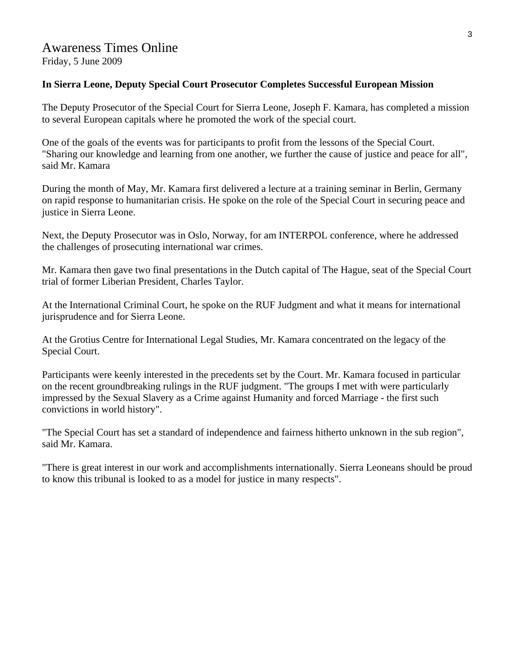#### Awareness Times Online Friday, 5 June 2009

#### **In Sierra Leone, Deputy Special Court Prosecutor Completes Successful European Mission**

The Deputy Prosecutor of the Special Court for Sierra Leone, Joseph F. Kamara, has completed a mission to several European capitals where he promoted the work of the special court.

One of the goals of the events was for participants to profit from the lessons of the Special Court. "Sharing our knowledge and learning from one another, we further the cause of justice and peace for all", said Mr. Kamara

During the month of May, Mr. Kamara first delivered a lecture at a training seminar in Berlin, Germany on rapid response to humanitarian crisis. He spoke on the role of the Special Court in securing peace and justice in Sierra Leone.

Next, the Deputy Prosecutor was in Oslo, Norway, for am INTERPOL conference, where he addressed the challenges of prosecuting international war crimes.

Mr. Kamara then gave two final presentations in the Dutch capital of The Hague, seat of the Special Court trial of former Liberian President, Charles Taylor.

At the International Criminal Court, he spoke on the RUF Judgment and what it means for international jurisprudence and for Sierra Leone.

At the Grotius Centre for International Legal Studies, Mr. Kamara concentrated on the legacy of the Special Court.

Participants were keenly interested in the precedents set by the Court. Mr. Kamara focused in particular on the recent groundbreaking rulings in the RUF judgment. "The groups I met with were particularly impressed by the Sexual Slavery as a Crime against Humanity and forced Marriage - the first such convictions in world history".

"The Special Court has set a standard of independence and fairness hitherto unknown in the sub region", said Mr. Kamara.

"There is great interest in our work and accomplishments internationally. Sierra Leoneans should be proud to know this tribunal is looked to as a model for justice in many respects".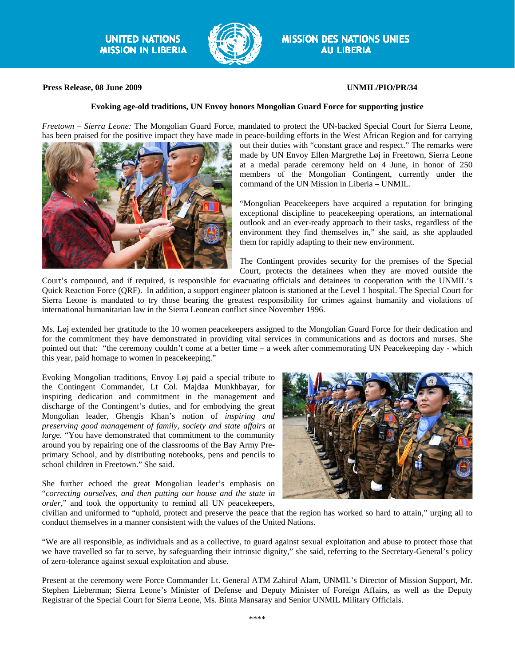

#### **Press Release, 08 June 2009 UNMIL/PIO/PR/34**

#### **Evoking age-old traditions, UN Envoy honors Mongolian Guard Force for supporting justice**

*Freetown – Sierra Leone:* The Mongolian Guard Force, mandated to protect the UN-backed Special Court for Sierra Leone, has been praised for the positive impact they have made in peace-building efforts in the West African Region and for carrying



out their duties with "constant grace and respect." The remarks were made by UN Envoy Ellen Margrethe Løj in Freetown, Sierra Leone at a medal parade ceremony held on 4 June, in honor of 250 members of the Mongolian Contingent, currently under the command of the UN Mission in Liberia – UNMIL.

"Mongolian Peacekeepers have acquired a reputation for bringing exceptional discipline to peacekeeping operations, an international outlook and an ever-ready approach to their tasks, regardless of the environment they find themselves in," she said, as she applauded them for rapidly adapting to their new environment.

The Contingent provides security for the premises of the Special Court, protects the detainees when they are moved outside the

Court's compound, and if required, is responsible for evacuating officials and detainees in cooperation with the UNMIL's Quick Reaction Force (QRF). In addition, a support engineer platoon is stationed at the Level 1 hospital. The Special Court for Sierra Leone is mandated to try those bearing the greatest responsibility for crimes against humanity and violations of international humanitarian law in the Sierra Leonean conflict since November 1996.

Ms. Løj extended her gratitude to the 10 women peacekeepers assigned to the Mongolian Guard Force for their dedication and for the commitment they have demonstrated in providing vital services in communications and as doctors and nurses. She pointed out that: "the ceremony couldn't come at a better time – a week after commemorating UN Peacekeeping day - which this year, paid homage to women in peacekeeping."

Evoking Mongolian traditions, Envoy Løj paid a special tribute to the Contingent Commander, Lt Col. Majdaa Munkhbayar, for inspiring dedication and commitment in the management and discharge of the Contingent's duties, and for embodying the great Mongolian leader, Ghengis Khan's notion of *inspiring and preserving good management of family, society and state affairs at larg*e. "You have demonstrated that commitment to the community around you by repairing one of the classrooms of the Bay Army Preprimary School, and by distributing notebooks, pens and pencils to school children in Freetown." She said.

She further echoed the great Mongolian leader's emphasis on "*correcting ourselves, and then putting our house and the state in order,*" and took the opportunity to remind all UN peacekeepers,



civilian and uniformed to "uphold, protect and preserve the peace that the region has worked so hard to attain," urging all to conduct themselves in a manner consistent with the values of the United Nations.

"We are all responsible, as individuals and as a collective, to guard against sexual exploitation and abuse to protect those that we have travelled so far to serve, by safeguarding their intrinsic dignity," she said, referring to the Secretary-General's policy of zero-tolerance against sexual exploitation and abuse.

Present at the ceremony were Force Commander Lt. General ATM Zahirul Alam, UNMIL's Director of Mission Support, Mr. Stephen Lieberman; Sierra Leone's Minister of Defense and Deputy Minister of Foreign Affairs, as well as the Deputy Registrar of the Special Court for Sierra Leone, Ms. Binta Mansaray and Senior UNMIL Military Officials.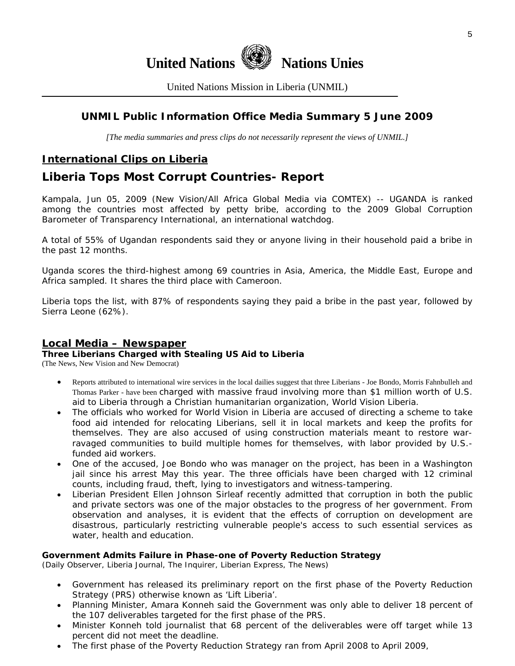

United Nations Mission in Liberia (UNMIL)

### **UNMIL Public Information Office Media Summary 5 June 2009**

*[The media summaries and press clips do not necessarily represent the views of UNMIL.]* 

## **International Clips on Liberia**

## **Liberia Tops Most Corrupt Countries- Report**

Kampala, Jun 05, 2009 (New Vision/All Africa Global Media via COMTEX) -- UGANDA is ranked among the countries most affected by petty bribe, according to the 2009 Global Corruption Barometer of Transparency International, an international watchdog.

A total of 55% of Ugandan respondents said they or anyone living in their household paid a bribe in the past 12 months.

Uganda scores the third-highest among 69 countries in Asia, America, the Middle East, Europe and Africa sampled. It shares the third place with Cameroon.

Liberia tops the list, with 87% of respondents saying they paid a bribe in the past year, followed by Sierra Leone (62%).

#### **Local Media – Newspaper**

#### **Three Liberians Charged with Stealing US Aid to Liberia**

(The News, New Vision and New Democrat)

- Reports attributed to international wire services in the local dailies suggest that three Liberians Joe Bondo, Morris Fahnbulleh and Thomas Parker - have been charged with massive fraud involving more than \$1 million worth of U.S. aid to Liberia through a Christian humanitarian organization, World Vision Liberia.
- The officials who worked for World Vision in Liberia are accused of directing a scheme to take food aid intended for relocating Liberians, sell it in local markets and keep the profits for themselves. They are also accused of using construction materials meant to restore warravaged communities to build multiple homes for themselves, with labor provided by U.S. funded aid workers.
- One of the accused, Joe Bondo who was manager on the project, has been in a Washington jail since his arrest May this year. The three officials have been charged with 12 criminal counts, including fraud, theft, lying to investigators and witness-tampering.
- Liberian President Ellen Johnson Sirleaf recently admitted that corruption in both the public and private sectors was one of the major obstacles to the progress of her government. From observation and analyses, it is evident that the effects of corruption on development are disastrous, particularly restricting vulnerable people's access to such essential services as water, health and education.

#### **Government Admits Failure in Phase-one of Poverty Reduction Strategy**

(Daily Observer, Liberia Journal, The Inquirer, Liberian Express, The News)

- Government has released its preliminary report on the first phase of the Poverty Reduction Strategy (PRS) otherwise known as 'Lift Liberia'.
- Planning Minister, Amara Konneh said the Government was only able to deliver 18 percent of the 107 deliverables targeted for the first phase of the PRS.
- Minister Konneh told journalist that 68 percent of the deliverables were off target while 13 percent did not meet the deadline.
- The first phase of the Poverty Reduction Strategy ran from April 2008 to April 2009,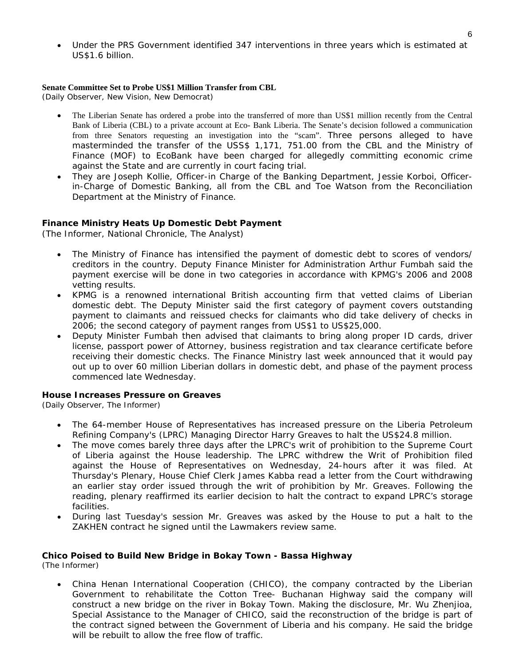• Under the PRS Government identified 347 interventions in three years which is estimated at US\$1.6 billion.

#### **Senate Committee Set to Probe US\$1 Million Transfer from CBL**

(Daily Observer, New Vision, New Democrat)

- The Liberian Senate has ordered a probe into the transferred of more than US\$1 million recently from the Central Bank of Liberia (CBL) to a private account at Eco- Bank Liberia. The Senate's decision followed a communication from three Senators requesting an investigation into the "scam". Three persons alleged to have masterminded the transfer of the USS\$ 1,171, 751.00 from the CBL and the Ministry of Finance (MOF) to EcoBank have been charged for allegedly committing economic crime against the State and are currently in court facing trial.
- They are Joseph Kollie, Officer-in Charge of the Banking Department, Jessie Korboi, Officerin-Charge of Domestic Banking, all from the CBL and Toe Watson from the Reconciliation Department at the Ministry of Finance.

#### **Finance Ministry Heats Up Domestic Debt Payment**

(The Informer, National Chronicle, The Analyst)

- The Ministry of Finance has intensified the payment of domestic debt to scores of vendors/ creditors in the country. Deputy Finance Minister for Administration Arthur Fumbah said the payment exercise will be done in two categories in accordance with KPMG's 2006 and 2008 vetting results.
- KPMG is a renowned international British accounting firm that vetted claims of Liberian domestic debt. The Deputy Minister said the first category of payment covers outstanding payment to claimants and reissued checks for claimants who did take delivery of checks in 2006; the second category of payment ranges from US\$1 to US\$25,000.
- Deputy Minister Fumbah then advised that claimants to bring along proper ID cards, driver license, passport power of Attorney, business registration and tax clearance certificate before receiving their domestic checks. The Finance Ministry last week announced that it would pay out up to over 60 million Liberian dollars in domestic debt, and phase of the payment process commenced late Wednesday.

#### **House Increases Pressure on Greaves**

(Daily Observer, The Informer)

- The 64-member House of Representatives has increased pressure on the Liberia Petroleum Refining Company's (LPRC) Managing Director Harry Greaves to halt the US\$24.8 million.
- The move comes barely three days after the LPRC's writ of prohibition to the Supreme Court of Liberia against the House leadership. The LPRC withdrew the Writ of Prohibition filed against the House of Representatives on Wednesday, 24-hours after it was filed. At Thursday's Plenary, House Chief Clerk James Kabba read a letter from the Court withdrawing an earlier stay order issued through the writ of prohibition by Mr. Greaves. Following the reading, plenary reaffirmed its earlier decision to halt the contract to expand LPRC's storage facilities.
- During last Tuesday's session Mr. Greaves was asked by the House to put a halt to the ZAKHEN contract he signed until the Lawmakers review same.

#### **Chico Poised to Build New Bridge in Bokay Town - Bassa Highway**

(The Informer)

• China Henan International Cooperation (CHICO), the company contracted by the Liberian Government to rehabilitate the Cotton Tree- Buchanan Highway said the company will construct a new bridge on the river in Bokay Town. Making the disclosure, Mr. Wu Zhenjioa, Special Assistance to the Manager of CHICO, said the reconstruction of the bridge is part of the contract signed between the Government of Liberia and his company. He said the bridge will be rebuilt to allow the free flow of traffic.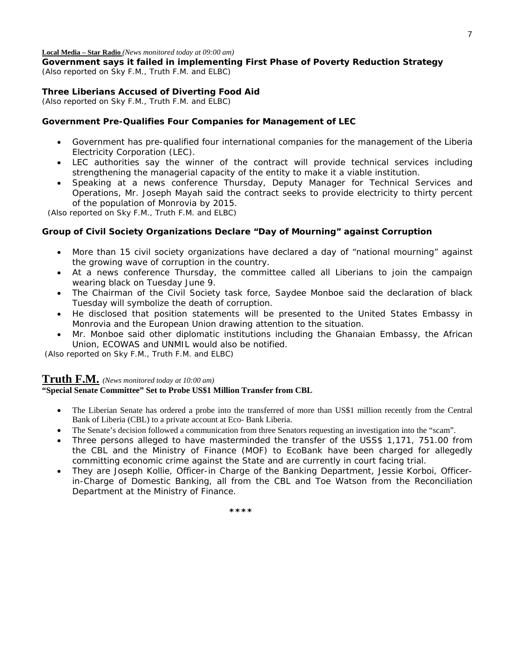**Local Media – Star Radio** *(News monitored today at 09:00 am)* 

**Government says it failed in implementing First Phase of Poverty Reduction Strategy**  *(Also reported on Sky F.M., Truth F.M. and ELBC)*

#### **Three Liberians Accused of Diverting Food Aid**

*(Also reported on Sky F.M., Truth F.M. and ELBC)*

#### **Government Pre-Qualifies Four Companies for Management of LEC**

- Government has pre-qualified four international companies for the management of the Liberia Electricity Corporation (LEC).
- LEC authorities say the winner of the contract will provide technical services including strengthening the managerial capacity of the entity to make it a viable institution.
- Speaking at a news conference Thursday, Deputy Manager for Technical Services and Operations, Mr. Joseph Mayah said the contract seeks to provide electricity to thirty percent of the population of Monrovia by 2015.

 *(Also reported on Sky F.M., Truth F.M. and ELBC)*

#### **Group of Civil Society Organizations Declare "Day of Mourning" against Corruption**

- More than 15 civil society organizations have declared a day of "national mourning" against the growing wave of corruption in the country.
- At a news conference Thursday, the committee called all Liberians to join the campaign wearing black on Tuesday June 9.
- The Chairman of the Civil Society task force, Saydee Monboe said the declaration of black Tuesday will symbolize the death of corruption.
- He disclosed that position statements will be presented to the United States Embassy in Monrovia and the European Union drawing attention to the situation.
- Mr. Monboe said other diplomatic institutions including the Ghanaian Embassy, the African Union, ECOWAS and UNMIL would also be notified.

 *(Also reported on Sky F.M., Truth F.M. and ELBC)*

#### **Truth F.M.** *(News monitored today at 10:00 am)*

#### **"Special Senate Committee" Set to Probe US\$1 Million Transfer from CBL**

- The Liberian Senate has ordered a probe into the transferred of more than US\$1 million recently from the Central Bank of Liberia (CBL) to a private account at Eco- Bank Liberia.
- The Senate's decision followed a communication from three Senators requesting an investigation into the "scam".
- Three persons alleged to have masterminded the transfer of the USS\$ 1,171, 751.00 from the CBL and the Ministry of Finance (MOF) to EcoBank have been charged for allegedly committing economic crime against the State and are currently in court facing trial.
- They are Joseph Kollie, Officer-in Charge of the Banking Department, Jessie Korboi, Officerin-Charge of Domestic Banking, all from the CBL and Toe Watson from the Reconciliation Department at the Ministry of Finance.

 **\*\*\*\***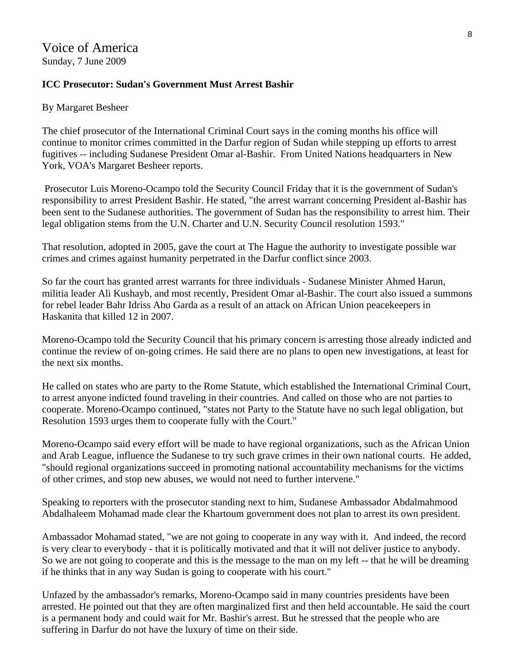#### **ICC Prosecutor: Sudan's Government Must Arrest Bashir**

#### By Margaret Besheer

The chief prosecutor of the International Criminal Court says in the coming months his office will continue to monitor crimes committed in the Darfur region of Sudan while stepping up efforts to arrest fugitives -- including Sudanese President Omar al-Bashir. From United Nations headquarters in New York, VOA's Margaret Besheer reports.

 Prosecutor Luis Moreno-Ocampo told the Security Council Friday that it is the government of Sudan's responsibility to arrest President Bashir. He stated, "the arrest warrant concerning President al-Bashir has been sent to the Sudanese authorities. The government of Sudan has the responsibility to arrest him. Their legal obligation stems from the U.N. Charter and U.N. Security Council resolution 1593."

That resolution, adopted in 2005, gave the court at The Hague the authority to investigate possible war crimes and crimes against humanity perpetrated in the Darfur conflict since 2003.

So far the court has granted arrest warrants for three individuals - Sudanese Minister Ahmed Harun, militia leader Ali Kushayb, and most recently, President Omar al-Bashir. The court also issued a summons for rebel leader Bahr Idriss Abu Garda as a result of an attack on African Union peacekeepers in Haskanita that killed 12 in 2007.

Moreno-Ocampo told the Security Council that his primary concern is arresting those already indicted and continue the review of on-going crimes. He said there are no plans to open new investigations, at least for the next six months.

He called on states who are party to the Rome Statute, which established the International Criminal Court, to arrest anyone indicted found traveling in their countries. And called on those who are not parties to cooperate. Moreno-Ocampo continued, "states not Party to the Statute have no such legal obligation, but Resolution 1593 urges them to cooperate fully with the Court."

Moreno-Ocampo said every effort will be made to have regional organizations, such as the African Union and Arab League, influence the Sudanese to try such grave crimes in their own national courts. He added, "should regional organizations succeed in promoting national accountability mechanisms for the victims of other crimes, and stop new abuses, we would not need to further intervene."

Speaking to reporters with the prosecutor standing next to him, Sudanese Ambassador Abdalmahmood Abdalhaleem Mohamad made clear the Khartoum government does not plan to arrest its own president.

Ambassador Mohamad stated, "we are not going to cooperate in any way with it. And indeed, the record is very clear to everybody - that it is politically motivated and that it will not deliver justice to anybody. So we are not going to cooperate and this is the message to the man on my left -- that he will be dreaming if he thinks that in any way Sudan is going to cooperate with his court."

Unfazed by the ambassador's remarks, Moreno-Ocampo said in many countries presidents have been arrested. He pointed out that they are often marginalized first and then held accountable. He said the court is a permanent body and could wait for Mr. Bashir's arrest. But he stressed that the people who are suffering in Darfur do not have the luxury of time on their side.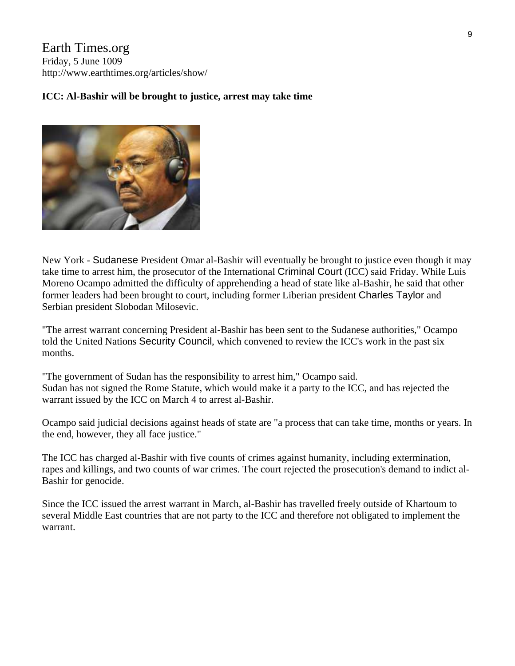Earth Times.org Friday, 5 June 1009 http://www.earthtimes.org/articles/show/

#### **ICC: Al-Bashir will be brought to justice, arrest may take time**



New York - Sudanese President Omar al-Bashir will eventually be brought to justice even though it may take time to arrest him, the prosecutor of the International Criminal Court (ICC) said Friday. While Luis Moreno Ocampo admitted the difficulty of apprehending a head of state like al-Bashir, he said that other former leaders had been brought to court, including former Liberian president Charles Taylor and Serbian president Slobodan Milosevic.

"The arrest warrant concerning President al-Bashir has been sent to the Sudanese authorities," Ocampo told the United Nations Security Council, which convened to review the ICC's work in the past six months.

"The government of Sudan has the responsibility to arrest him," Ocampo said. Sudan has not signed the Rome Statute, which would make it a party to the ICC, and has rejected the warrant issued by the ICC on March 4 to arrest al-Bashir.

Ocampo said judicial decisions against heads of state are "a process that can take time, months or years. In the end, however, they all face justice."

The ICC has charged al-Bashir with five counts of crimes against humanity, including extermination, rapes and killings, and two counts of war crimes. The court rejected the prosecution's demand to indict al-Bashir for genocide.

Since the ICC issued the arrest warrant in March, al-Bashir has travelled freely outside of Khartoum to several Middle East countries that are not party to the ICC and therefore not obligated to implement the warrant.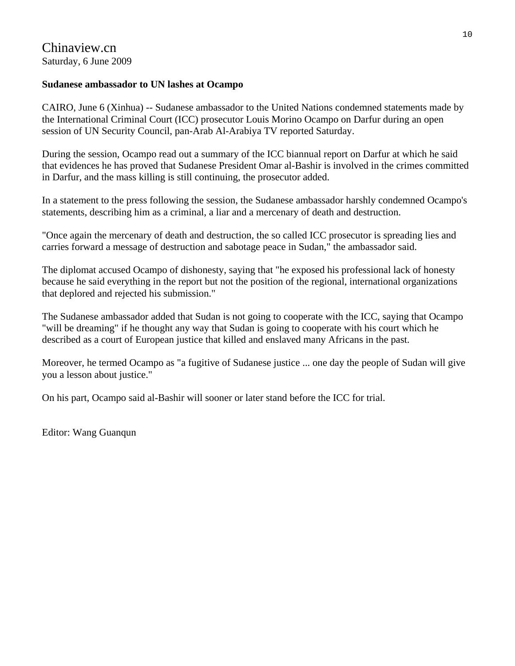#### **Sudanese ambassador to UN lashes at Ocampo**

CAIRO, June 6 (Xinhua) -- Sudanese ambassador to the United Nations condemned statements made by the International Criminal Court (ICC) prosecutor Louis Morino Ocampo on Darfur during an open session of UN Security Council, pan-Arab Al-Arabiya TV reported Saturday.

During the session, Ocampo read out a summary of the ICC biannual report on Darfur at which he said that evidences he has proved that Sudanese President Omar al-Bashir is involved in the crimes committed in Darfur, and the mass killing is still continuing, the prosecutor added.

In a statement to the press following the session, the Sudanese ambassador harshly condemned Ocampo's statements, describing him as a criminal, a liar and a mercenary of death and destruction.

"Once again the mercenary of death and destruction, the so called ICC prosecutor is spreading lies and carries forward a message of destruction and sabotage peace in Sudan," the ambassador said.

The diplomat accused Ocampo of dishonesty, saying that "he exposed his professional lack of honesty because he said everything in the report but not the position of the regional, international organizations that deplored and rejected his submission."

The Sudanese ambassador added that Sudan is not going to cooperate with the ICC, saying that Ocampo "will be dreaming" if he thought any way that Sudan is going to cooperate with his court which he described as a court of European justice that killed and enslaved many Africans in the past.

Moreover, he termed Ocampo as "a fugitive of Sudanese justice ... one day the people of Sudan will give you a lesson about justice."

On his part, Ocampo said al-Bashir will sooner or later stand before the ICC for trial.

Editor: Wang Guanqun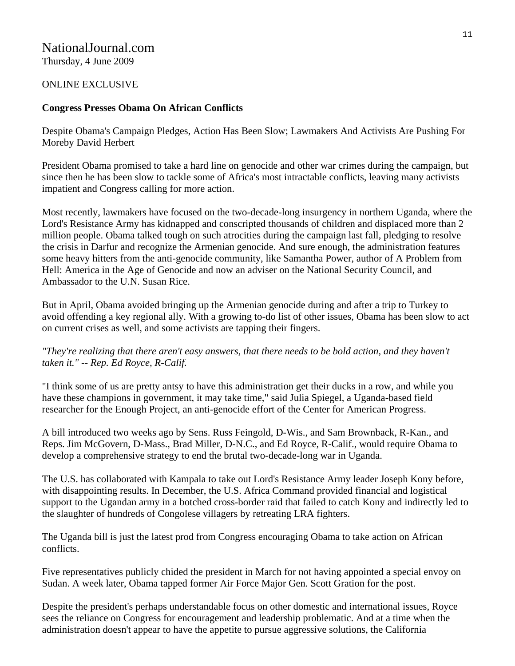## NationalJournal.com

Thursday, 4 June 2009

#### ONLINE EXCLUSIVE

#### **Congress Presses Obama On African Conflicts**

Despite Obama's Campaign Pledges, Action Has Been Slow; Lawmakers And Activists Are Pushing For Moreby David Herbert

President Obama promised to take a hard line on genocide and other war crimes during the campaign, but since then he has been slow to tackle some of Africa's most intractable conflicts, leaving many activists impatient and Congress calling for more action.

Most recently, lawmakers have focused on the two-decade-long insurgency in northern Uganda, where the Lord's Resistance Army has kidnapped and conscripted thousands of children and displaced more than 2 million people. Obama talked tough on such atrocities during the campaign last fall, pledging to resolve the crisis in Darfur and recognize the Armenian genocide. And sure enough, the administration features some heavy hitters from the anti-genocide community, like Samantha Power, author of A Problem from Hell: America in the Age of Genocide and now an adviser on the National Security Council, and Ambassador to the U.N. Susan Rice.

But in April, Obama avoided bringing up the Armenian genocide during and after a trip to Turkey to avoid offending a key regional ally. With a growing to-do list of other issues, Obama has been slow to act on current crises as well, and some activists are tapping their fingers.

*"They're realizing that there aren't easy answers, that there needs to be bold action, and they haven't taken it." -- Rep. Ed Royce, R-Calif.* 

"I think some of us are pretty antsy to have this administration get their ducks in a row, and while you have these champions in government, it may take time," said Julia Spiegel, a Uganda-based field researcher for the Enough Project, an anti-genocide effort of the Center for American Progress.

A bill introduced two weeks ago by Sens. Russ Feingold, D-Wis., and Sam Brownback, R-Kan., and Reps. Jim McGovern, D-Mass., Brad Miller, D-N.C., and Ed Royce, R-Calif., would require Obama to develop a comprehensive strategy to end the brutal two-decade-long war in Uganda.

The U.S. has collaborated with Kampala to take out Lord's Resistance Army leader Joseph Kony before, with disappointing results. In December, the U.S. Africa Command provided financial and logistical support to the Ugandan army in a botched cross-border raid that failed to catch Kony and indirectly led to the slaughter of hundreds of Congolese villagers by retreating LRA fighters.

The Uganda bill is just the latest prod from Congress encouraging Obama to take action on African conflicts.

Five representatives publicly chided the president in March for not having appointed a special envoy on Sudan. A week later, Obama tapped former Air Force Major Gen. Scott Gration for the post.

Despite the president's perhaps understandable focus on other domestic and international issues, Royce sees the reliance on Congress for encouragement and leadership problematic. And at a time when the administration doesn't appear to have the appetite to pursue aggressive solutions, the California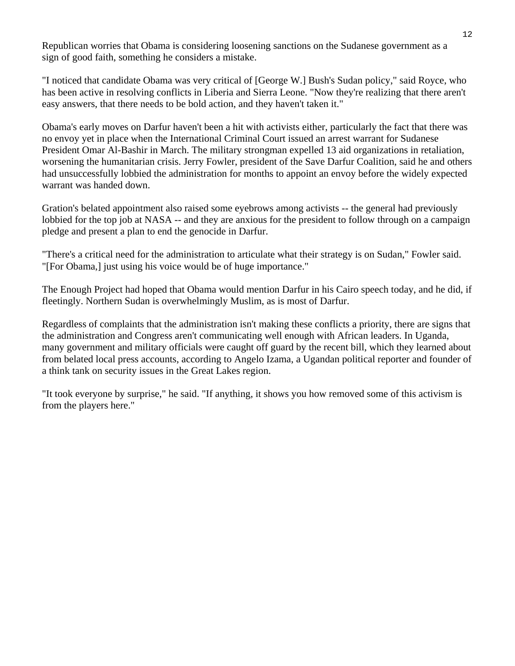Republican worries that Obama is considering loosening sanctions on the Sudanese government as a sign of good faith, something he considers a mistake.

"I noticed that candidate Obama was very critical of [George W.] Bush's Sudan policy," said Royce, who has been active in resolving conflicts in Liberia and Sierra Leone. "Now they're realizing that there aren't easy answers, that there needs to be bold action, and they haven't taken it."

Obama's early moves on Darfur haven't been a hit with activists either, particularly the fact that there was no envoy yet in place when the International Criminal Court issued an arrest warrant for Sudanese President Omar Al-Bashir in March. The military strongman expelled 13 aid organizations in retaliation, worsening the humanitarian crisis. Jerry Fowler, president of the Save Darfur Coalition, said he and others had unsuccessfully lobbied the administration for months to appoint an envoy before the widely expected warrant was handed down.

Gration's belated appointment also raised some eyebrows among activists -- the general had previously lobbied for the top job at NASA -- and they are anxious for the president to follow through on a campaign pledge and present a plan to end the genocide in Darfur.

"There's a critical need for the administration to articulate what their strategy is on Sudan," Fowler said. "[For Obama,] just using his voice would be of huge importance."

The Enough Project had hoped that Obama would mention Darfur in his Cairo speech today, and he did, if fleetingly. Northern Sudan is overwhelmingly Muslim, as is most of Darfur.

Regardless of complaints that the administration isn't making these conflicts a priority, there are signs that the administration and Congress aren't communicating well enough with African leaders. In Uganda, many government and military officials were caught off guard by the recent bill, which they learned about from belated local press accounts, according to Angelo Izama, a Ugandan political reporter and founder of a think tank on security issues in the Great Lakes region.

"It took everyone by surprise," he said. "If anything, it shows you how removed some of this activism is from the players here."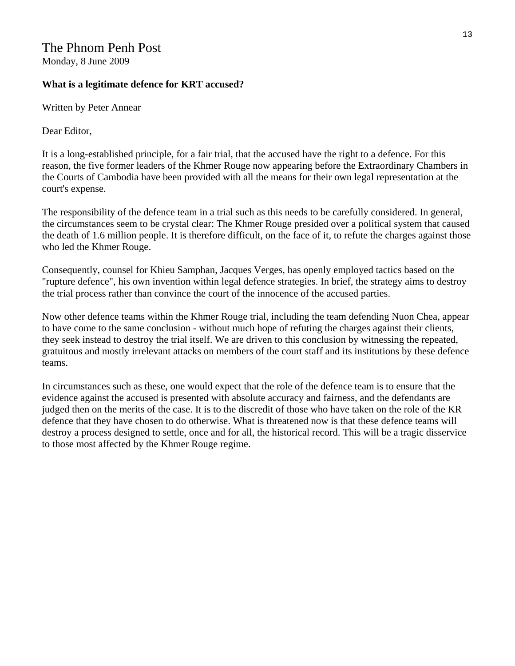## The Phnom Penh Post

Monday, 8 June 2009

#### **What is a legitimate defence for KRT accused?**

Written by Peter Annear

Dear Editor,

It is a long-established principle, for a fair trial, that the accused have the right to a defence. For this reason, the five former leaders of the Khmer Rouge now appearing before the Extraordinary Chambers in the Courts of Cambodia have been provided with all the means for their own legal representation at the court's expense.

The responsibility of the defence team in a trial such as this needs to be carefully considered. In general, the circumstances seem to be crystal clear: The Khmer Rouge presided over a political system that caused the death of 1.6 million people. It is therefore difficult, on the face of it, to refute the charges against those who led the Khmer Rouge.

Consequently, counsel for Khieu Samphan, Jacques Verges, has openly employed tactics based on the "rupture defence", his own invention within legal defence strategies. In brief, the strategy aims to destroy the trial process rather than convince the court of the innocence of the accused parties.

Now other defence teams within the Khmer Rouge trial, including the team defending Nuon Chea, appear to have come to the same conclusion - without much hope of refuting the charges against their clients, they seek instead to destroy the trial itself. We are driven to this conclusion by witnessing the repeated, gratuitous and mostly irrelevant attacks on members of the court staff and its institutions by these defence teams.

In circumstances such as these, one would expect that the role of the defence team is to ensure that the evidence against the accused is presented with absolute accuracy and fairness, and the defendants are judged then on the merits of the case. It is to the discredit of those who have taken on the role of the KR defence that they have chosen to do otherwise. What is threatened now is that these defence teams will destroy a process designed to settle, once and for all, the historical record. This will be a tragic disservice to those most affected by the Khmer Rouge regime.